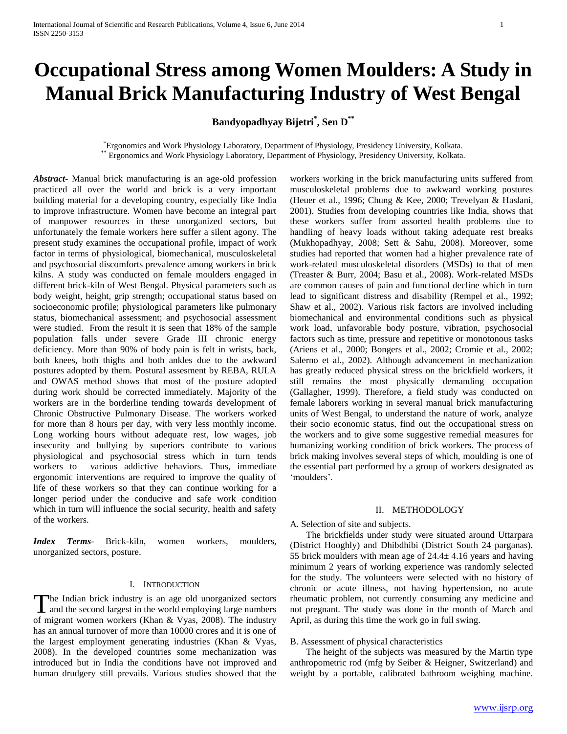# **Occupational Stress among Women Moulders: A Study in Manual Brick Manufacturing Industry of West Bengal**

# **Bandyopadhyay Bijetri\* , Sen D\*\***

# \*Ergonomics and Work Physiology Laboratory, Department of Physiology, Presidency University, Kolkata. \*\* Ergonomics and Work Physiology Laboratory, Department of Physiology, Presidency University, Kolkata.

*Abstract***-** Manual brick manufacturing is an age-old profession practiced all over the world and brick is a very important building material for a developing country, especially like India to improve infrastructure. Women have become an integral part of manpower resources in these unorganized sectors, but unfortunately the female workers here suffer a silent agony. The present study examines the occupational profile, impact of work factor in terms of physiological, biomechanical, musculoskeletal and psychosocial discomforts prevalence among workers in brick kilns. A study was conducted on female moulders engaged in different brick-kiln of West Bengal. Physical parameters such as body weight, height, grip strength; occupational status based on socioeconomic profile; physiological parameters like pulmonary status, biomechanical assessment; and psychosocial assessment were studied. From the result it is seen that 18% of the sample population falls under severe Grade III chronic energy deficiency. More than 90% of body pain is felt in wrists, back, both knees, both thighs and both ankles due to the awkward postures adopted by them. Postural assesment by REBA, RULA and OWAS method shows that most of the posture adopted during work should be corrected immediately. Majority of the workers are in the borderline tending towards development of Chronic Obstructive Pulmonary Disease. The workers worked for more than 8 hours per day, with very less monthly income. Long working hours without adequate rest, low wages, job insecurity and bullying by superiors contribute to various physiological and psychosocial stress which in turn tends workers to various addictive behaviors. Thus, immediate ergonomic interventions are required to improve the quality of life of these workers so that they can continue working for a longer period under the conducive and safe work condition which in turn will influence the social security, health and safety of the workers.

*Index Terms*- Brick-kiln, women workers, moulders, unorganized sectors, posture.

#### I. INTRODUCTION

he Indian brick industry is an age old unorganized sectors The Indian brick industry is an age old unorganized sectors<br>and the second largest in the world employing large numbers of migrant women workers (Khan & Vyas, 2008). The industry has an annual turnover of more than 10000 crores and it is one of the largest employment generating industries (Khan & Vyas, 2008). In the developed countries some mechanization was introduced but in India the conditions have not improved and human drudgery still prevails. Various studies showed that the

workers working in the brick manufacturing units suffered from musculoskeletal problems due to awkward working postures (Heuer et al., 1996; Chung & Kee, 2000; Trevelyan & Haslani, 2001). Studies from developing countries like India, shows that these workers suffer from assorted health problems due to handling of heavy loads without taking adequate rest breaks (Mukhopadhyay, 2008; Sett & Sahu, 2008). Moreover, some studies had reported that women had a higher prevalence rate of work-related musculoskeletal disorders (MSDs) to that of men (Treaster & Burr, 2004; Basu et al., 2008). Work-related MSDs are common causes of pain and functional decline which in turn lead to significant distress and disability (Rempel et al., 1992; Shaw et al., 2002). Various risk factors are involved including biomechanical and environmental conditions such as physical work load, unfavorable body posture, vibration, psychosocial factors such as time, pressure and repetitive or monotonous tasks (Ariens et al., 2000; Bongers et al., 2002; Cromie et al., 2002; Salerno et al., 2002). Although advancement in mechanization has greatly reduced physical stress on the brickfield workers, it still remains the most physically demanding occupation (Gallagher, 1999). Therefore, a field study was conducted on female laborers working in several manual brick manufacturing units of West Bengal, to understand the nature of work, analyze their socio economic status, find out the occupational stress on the workers and to give some suggestive remedial measures for humanizing working condition of brick workers. The process of brick making involves several steps of which, moulding is one of the essential part performed by a group of workers designated as 'moulders'.

# II. METHODOLOGY

A. Selection of site and subjects.

 The brickfields under study were situated around Uttarpara (District Hooghly) and Dhibdhibi (District South 24 parganas). 55 brick moulders with mean age of  $24.4 \pm 4.16$  years and having minimum 2 years of working experience was randomly selected for the study. The volunteers were selected with no history of chronic or acute illness, not having hypertension, no acute rheumatic problem, not currently consuming any medicine and not pregnant. The study was done in the month of March and April, as during this time the work go in full swing.

B. Assessment of physical characteristics

 The height of the subjects was measured by the Martin type anthropometric rod (mfg by Seiber & Heigner, Switzerland) and weight by a portable, calibrated bathroom weighing machine.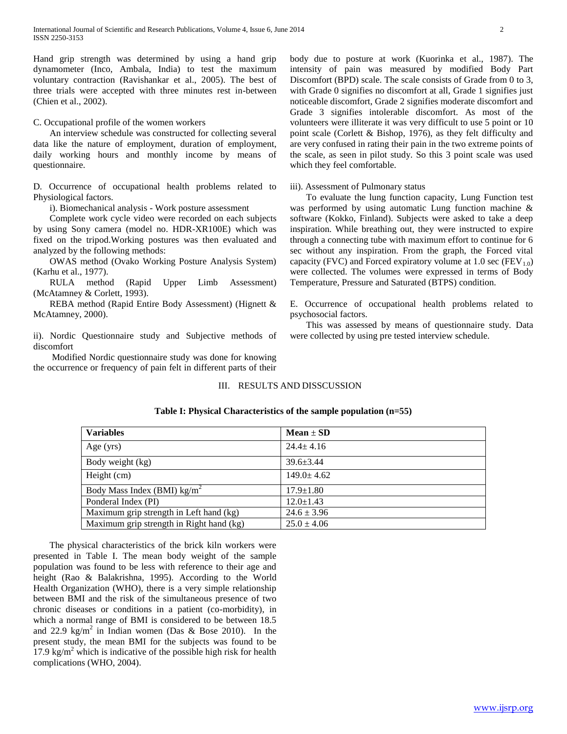Hand grip strength was determined by using a hand grip dynamometer (Inco, Ambala, India) to test the maximum voluntary contraction (Ravishankar et al., 2005). The best of three trials were accepted with three minutes rest in-between (Chien et al., 2002).

# C. Occupational profile of the women workers

 An interview schedule was constructed for collecting several data like the nature of employment, duration of employment, daily working hours and monthly income by means of questionnaire.

D*.* Occurrence of occupational health problems related to Physiological factors.

i). Biomechanical analysis - Work posture assessment

 Complete work cycle video were recorded on each subjects by using Sony camera (model no. HDR-XR100E) which was fixed on the tripod.Working postures was then evaluated and analyzed by the following methods:

 OWAS method (Ovako Working Posture Analysis System) (Karhu et al., 1977).

 RULA method (Rapid Upper Limb Assessment) (McAtamney & Corlett, 1993).

 REBA method (Rapid Entire Body Assessment) (Hignett & McAtamney, 2000).

ii). Nordic Questionnaire study and Subjective methods of discomfort

 Modified Nordic questionnaire study was done for knowing the occurrence or frequency of pain felt in different parts of their body due to posture at work (Kuorinka et al., 1987). The intensity of pain was measured by modified Body Part Discomfort (BPD) scale. The scale consists of Grade from 0 to 3, with Grade 0 signifies no discomfort at all, Grade 1 signifies just noticeable discomfort, Grade 2 signifies moderate discomfort and Grade 3 signifies intolerable discomfort. As most of the volunteers were illiterate it was very difficult to use 5 point or 10 point scale (Corlett & Bishop, 1976), as they felt difficulty and are very confused in rating their pain in the two extreme points of the scale, as seen in pilot study. So this 3 point scale was used which they feel comfortable.

#### iii). Assessment of Pulmonary status

 To evaluate the lung function capacity, Lung Function test was performed by using automatic Lung function machine & software (Kokko, Finland). Subjects were asked to take a deep inspiration. While breathing out, they were instructed to expire through a connecting tube with maximum effort to continue for 6 sec without any inspiration. From the graph, the Forced vital capacity (FVC) and Forced expiratory volume at 1.0 sec (FEV<sub>1.0</sub>) were collected. The volumes were expressed in terms of Body Temperature, Pressure and Saturated (BTPS) condition.

E. Occurrence of occupational health problems related to psychosocial factors.

 This was assessed by means of questionnaire study. Data were collected by using pre tested interview schedule.

# III. RESULTS AND DISSCUSSION

| <b>Variables</b>                         | $Mean \pm SD$    |
|------------------------------------------|------------------|
| Age $(yrs)$                              | $24.4 \pm 4.16$  |
| Body weight (kg)                         | $39.6 + 3.44$    |
| Height (cm)                              | $149.0 \pm 4.62$ |
| Body Mass Index (BMI) $\text{kg/m}^2$    | $17.9 \pm 1.80$  |
| Ponderal Index (PI)                      | $12.0 \pm 1.43$  |
| Maximum grip strength in Left hand (kg)  | $24.6 \pm 3.96$  |
| Maximum grip strength in Right hand (kg) | $25.0 \pm 4.06$  |

# **Table I: Physical Characteristics of the sample population (n=55)**

 The physical characteristics of the brick kiln workers were presented in Table I. The mean body weight of the sample population was found to be less with reference to their age and height (Rao & Balakrishna, 1995). According to the World Health Organization (WHO), there is a very simple relationship between BMI and the risk of the simultaneous presence of two chronic diseases or conditions in a patient (co-morbidity), in which a normal range of BMI is considered to be between 18.5 and 22.9 kg/m<sup>2</sup> in Indian women (Das & Bose 2010). In the present study, the mean BMI for the subjects was found to be 17.9  $\text{kg/m}^2$  which is indicative of the possible high risk for health complications (WHO, 2004).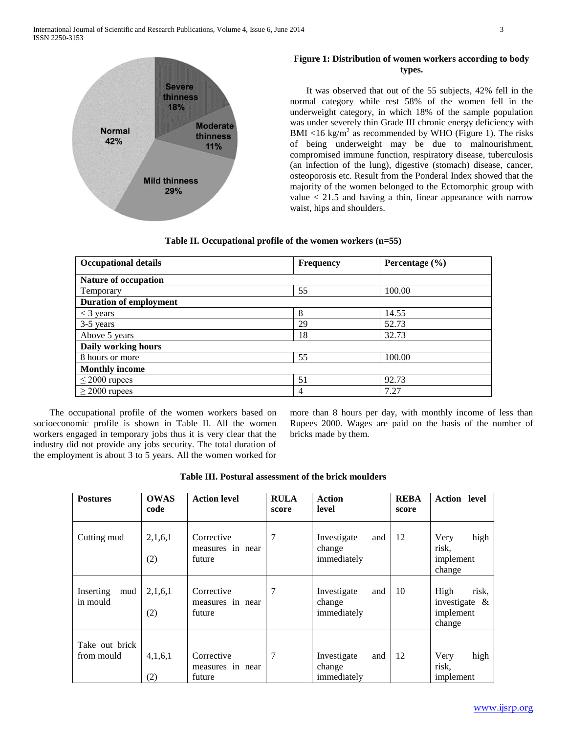

# **Figure 1: Distribution of women workers according to body types.**

 It was observed that out of the 55 subjects, 42% fell in the normal category while rest 58% of the women fell in the underweight category, in which 18% of the sample population was under severely thin Grade III chronic energy deficiency with BMI <16 kg/m<sup>2</sup> as recommended by WHO (Figure 1). The risks of being underweight may be due to malnourishment, compromised immune function, respiratory disease, tuberculosis (an infection of the lung), digestive (stomach) disease, cancer, osteoporosis etc. Result from the Ponderal Index showed that the majority of the women belonged to the Ectomorphic group with value  $<$  21.5 and having a thin, linear appearance with narrow waist, hips and shoulders.

| Table II. Occupational profile of the women workers $(n=55)$ |  |  |  |  |  |  |
|--------------------------------------------------------------|--|--|--|--|--|--|
|--------------------------------------------------------------|--|--|--|--|--|--|

| <b>Occupational details</b>   | <b>Frequency</b> | Percentage $(\% )$ |
|-------------------------------|------------------|--------------------|
| <b>Nature of occupation</b>   |                  |                    |
| Temporary                     | 55               | 100.00             |
| <b>Duration of employment</b> |                  |                    |
| $<$ 3 years                   | 8                | 14.55              |
| 3-5 years                     | 29               | 52.73              |
| Above 5 years                 | 18               | 32.73              |
| Daily working hours           |                  |                    |
| 8 hours or more               | 55               | 100.00             |
| <b>Monthly income</b>         |                  |                    |
| $\leq$ 2000 rupees            | 51               | 92.73              |
| $\geq$ 2000 rupees            | 4                | 7.27               |

 The occupational profile of the women workers based on socioeconomic profile is shown in Table II. All the women workers engaged in temporary jobs thus it is very clear that the industry did not provide any jobs security. The total duration of the employment is about 3 to 5 years. All the women worked for more than 8 hours per day, with monthly income of less than Rupees 2000. Wages are paid on the basis of the number of bricks made by them.

|  |  |  | Table III. Postural assessment of the brick moulders |  |  |  |
|--|--|--|------------------------------------------------------|--|--|--|
|--|--|--|------------------------------------------------------|--|--|--|

| <b>Postures</b>              | <b>OWAS</b><br>code | <b>Action level</b>                      | <b>RULA</b><br>score | <b>Action</b><br>level                      | <b>REBA</b><br>score | <b>Action</b> level                                      |
|------------------------------|---------------------|------------------------------------------|----------------------|---------------------------------------------|----------------------|----------------------------------------------------------|
| Cutting mud                  | 2,1,6,1<br>(2)      | Corrective<br>measures in near<br>future | 7                    | Investigate<br>and<br>change<br>immediately | 12                   | high<br>Very<br>risk,<br>implement<br>change             |
| Inserting<br>mud<br>in mould | 2,1,6,1<br>(2)      | Corrective<br>measures in near<br>future | 7                    | Investigate<br>and<br>change<br>immediately | 10                   | High<br>risk,<br>investigate $\&$<br>implement<br>change |
| Take out brick<br>from mould | 4,1,6,1<br>(2)      | Corrective<br>measures in near<br>future | 7                    | Investigate<br>and<br>change<br>immediately | 12                   | high<br>Very<br>risk,<br>implement                       |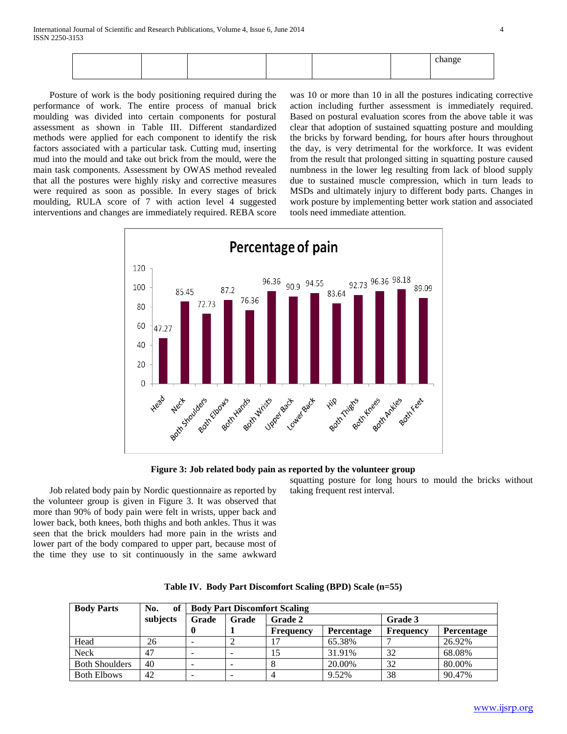|  |  |  | $\sim$ $\sim$ $\sim$<br>тапес |
|--|--|--|-------------------------------|
|  |  |  | $\ldots$                      |
|  |  |  |                               |
|  |  |  |                               |

 Posture of work is the body positioning required during the performance of work. The entire process of manual brick moulding was divided into certain components for postural assessment as shown in Table III. Different standardized methods were applied for each component to identify the risk factors associated with a particular task. Cutting mud, inserting mud into the mould and take out brick from the mould, were the main task components. Assessment by OWAS method revealed that all the postures were highly risky and corrective measures were required as soon as possible. In every stages of brick moulding, RULA score of 7 with action level 4 suggested interventions and changes are immediately required. REBA score

was 10 or more than 10 in all the postures indicating corrective action including further assessment is immediately required. Based on postural evaluation scores from the above table it was clear that adoption of sustained squatting posture and moulding the bricks by forward bending, for hours after hours throughout the day, is very detrimental for the workforce. It was evident from the result that prolonged sitting in squatting posture caused numbness in the lower leg resulting from lack of blood supply due to sustained muscle compression, which in turn leads to MSDs and ultimately injury to different body parts. Changes in work posture by implementing better work station and associated tools need immediate attention.



**Figure 3: Job related body pain as reported by the volunteer group**

 Job related body pain by Nordic questionnaire as reported by the volunteer group is given in Figure 3. It was observed that more than 90% of body pain were felt in wrists, upper back and lower back, both knees, both thighs and both ankles. Thus it was seen that the brick moulders had more pain in the wrists and lower part of the body compared to upper part, because most of the time they use to sit continuously in the same awkward

squatting posture for long hours to mould the bricks without taking frequent rest interval.

| <b>Body Parts</b>     | No.<br>of |       | <b>Body Part Discomfort Scaling</b> |                  |                   |           |                   |
|-----------------------|-----------|-------|-------------------------------------|------------------|-------------------|-----------|-------------------|
|                       | subjects  | Grade | Grade                               | <b>Grade 2</b>   |                   | Grade 3   |                   |
|                       |           |       |                                     | <b>Frequency</b> | <b>Percentage</b> | Frequency | <b>Percentage</b> |
| Head                  | 26        |       |                                     |                  | 65.38%            |           | 26.92%            |
| Neck                  | 47        |       |                                     | 15               | 31.91%            | 32        | 68.08%            |
| <b>Both Shoulders</b> | 40        |       |                                     |                  | 20.00%            | 32        | 80.00%            |
| <b>Both Elbows</b>    | 42        |       |                                     | 4                | 9.52%             | 38        | 90.47%            |

**Table IV. Body Part Discomfort Scaling (BPD) Scale (n=55)**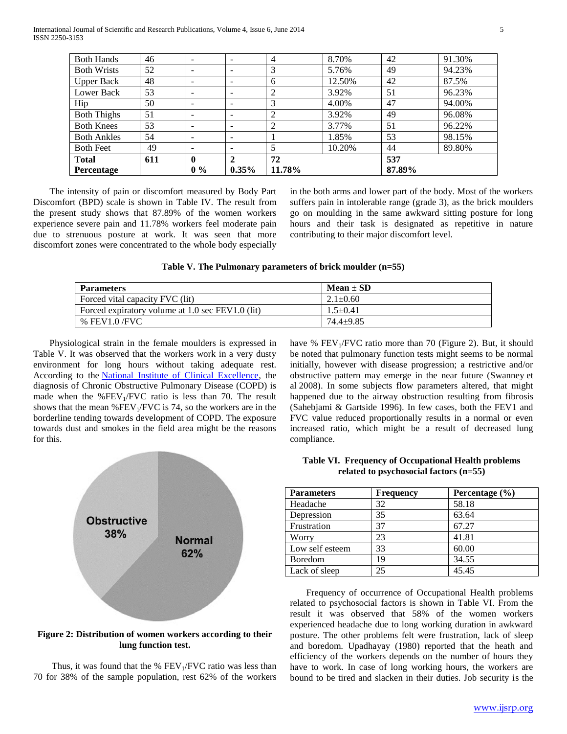| <b>Both Hands</b>  | 46  | $\overline{\phantom{0}}$     | -                        | 4      | 8.70%  | 42     | 91.30% |
|--------------------|-----|------------------------------|--------------------------|--------|--------|--------|--------|
| <b>Both Wrists</b> | 52  | $\overline{\phantom{0}}$     | -                        | 3      | 5.76%  | 49     | 94.23% |
| <b>Upper Back</b>  | 48  | $\qquad \qquad \blacksquare$ | -                        | 6      | 12.50% | 42     | 87.5%  |
| Lower Back         | 53  | -                            | $\overline{\phantom{a}}$ | 2      | 3.92%  | 51     | 96.23% |
| Hip                | 50  | $\overline{\phantom{a}}$     | $\overline{\phantom{0}}$ | 3      | 4.00%  | 47     | 94.00% |
| <b>Both Thighs</b> | 51  | -                            | -                        | 2      | 3.92%  | 49     | 96.08% |
| <b>Both Knees</b>  | 53  | $\overline{\phantom{a}}$     | ۰                        | 2      | 3.77%  | 51     | 96.22% |
| <b>Both Ankles</b> | 54  | $\qquad \qquad \blacksquare$ | -                        |        | 1.85%  | 53     | 98.15% |
| <b>Both Feet</b>   | 49  | -                            | -                        | 5      | 10.20% | 44     | 89.80% |
| <b>Total</b>       | 611 | $\mathbf{0}$                 | $\overline{2}$           | 72     |        | 537    |        |
| <b>Percentage</b>  |     | $0\%$                        | $0.35\%$                 | 11.78% |        | 87.89% |        |

 The intensity of pain or discomfort measured by Body Part Discomfort (BPD) scale is shown in Table IV. The result from the present study shows that 87.89% of the women workers experience severe pain and 11.78% workers feel moderate pain due to strenuous posture at work. It was seen that more discomfort zones were concentrated to the whole body especially

in the both arms and lower part of the body. Most of the workers suffers pain in intolerable range (grade 3), as the brick moulders go on moulding in the same awkward sitting posture for long hours and their task is designated as repetitive in nature contributing to their major discomfort level.

| $Mean \pm SD$  |
|----------------|
| $2.1 \pm 0.60$ |
| $1.5 + 0.41$   |
| $74.4 + 9.85$  |
|                |

 Physiological strain in the female moulders is expressed in Table V. It was observed that the workers work in a very dusty environment for long hours without taking adequate rest. According to the [National Institute of Clinical Excellence,](http://en.wikipedia.org/wiki/National_Institute_for_Clinical_Excellence) the diagnosis of Chronic Obstructive Pulmonary Disease (COPD) is made when the  $%FEV<sub>1</sub>/FVC$  ratio is less than 70. The result shows that the mean % $FEV<sub>1</sub>/FVC$  is 74, so the workers are in the borderline tending towards development of COPD. The exposure towards dust and smokes in the field area might be the reasons for this.



**Figure 2: Distribution of women workers according to their lung function test.**

Thus, it was found that the %  $FEV<sub>1</sub>/FVC$  ratio was less than 70 for 38% of the sample population, rest 62% of the workers have %  $FEV<sub>1</sub>/FVC$  ratio more than 70 (Figure 2). But, it should be noted that pulmonary function tests might seems to be normal initially, however with disease progression; a restrictive and/or obstructive pattern may emerge in the near future (Swanney et al 2008). In some subjects flow parameters altered, that might happened due to the airway obstruction resulting from fibrosis (Sahebjami & Gartside 1996). In few cases, both the FEV1 and FVC value reduced proportionally results in a normal or even increased ratio, which might be a result of decreased lung compliance.

| Table VI. Frequency of Occupational Health problems |  |
|-----------------------------------------------------|--|
| related to psychosocial factors $(n=55)$            |  |

| <b>Parameters</b> | <b>Frequency</b> | Percentage $(\% )$ |
|-------------------|------------------|--------------------|
| Headache          | 32               | 58.18              |
| Depression        | 35               | 63.64              |
| Frustration       | 37               | 67.27              |
| Worry             | 23               | 41.81              |
| Low self esteem   | 33               | 60.00              |
| Boredom           | 19               | 34.55              |
| Lack of sleep     | 25               | 45.45              |

 Frequency of occurrence of Occupational Health problems related to psychosocial factors is shown in Table VI. From the result it was observed that 58% of the women workers experienced headache due to long working duration in awkward posture. The other problems felt were frustration, lack of sleep and boredom. Upadhayay (1980) reported that the heath and efficiency of the workers depends on the number of hours they have to work. In case of long working hours, the workers are bound to be tired and slacken in their duties. Job security is the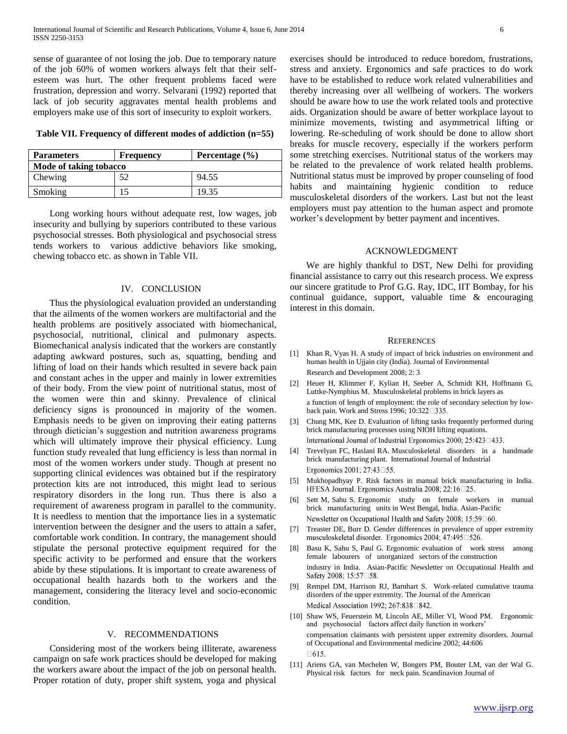sense of guarantee of not losing the job. Due to temporary nature of the job 60% of women workers always felt that their selfesteem was hurt. The other frequent problems faced were frustration, depression and worry. Selvarani (1992) reported that lack of job security aggravates mental health problems and employers make use of this sort of insecurity to exploit workers.

**Table VII. Frequency of different modes of addiction (n=55)**

| <b>Parameters</b>      | <b>Frequency</b> | Percentage $(\% )$ |
|------------------------|------------------|--------------------|
| Mode of taking tobacco |                  |                    |
| Chewing                | 52               | 94.55              |
| Smoking                |                  | 19.35              |

 Long working hours without adequate rest, low wages, job insecurity and bullying by superiors contributed to these various psychosocial stresses. Both physiological and psychosocial stress tends workers to various addictive behaviors like smoking, chewing tobacco etc. as shown in Table VII.

#### IV. CONCLUSION

 Thus the physiological evaluation provided an understanding that the ailments of the women workers are multifactorial and the health problems are positively associated with biomechanical, psychosocial, nutritional, clinical and pulmonary aspects. Biomechanical analysis indicated that the workers are constantly adapting awkward postures, such as, squatting, bending and lifting of load on their hands which resulted in severe back pain and constant aches in the upper and mainly in lower extremities of their body. From the view point of nutritional status, most of the women were thin and skinny. Prevalence of clinical deficiency signs is pronounced in majority of the women. Emphasis needs to be given on improving their eating patterns through dietician's suggestion and nutrition awareness programs which will ultimately improve their physical efficiency. Lung function study revealed that lung efficiency is less than normal in most of the women workers under study. Though at present no supporting clinical evidences was obtained but if the respiratory protection kits are not introduced, this might lead to serious respiratory disorders in the long run. Thus there is also a requirement of awareness program in parallel to the community. It is needless to mention that the importance lies in a systematic intervention between the designer and the users to attain a safer, comfortable work condition. In contrary, the management should stipulate the personal protective equipment required for the specific activity to be performed and ensure that the workers abide by these stipulations. It is important to create awareness of occupational health hazards both to the workers and the management, considering the literacy level and socio-economic condition.

#### V. RECOMMENDATIONS

 Considering most of the workers being illiterate, awareness campaign on safe work practices should be developed for making the workers aware about the impact of the job on personal health. Proper rotation of duty, proper shift system, yoga and physical exercises should be introduced to reduce boredom, frustrations, stress and anxiety. Ergonomics and safe practices to do work have to be established to reduce work related vulnerabilities and thereby increasing over all wellbeing of workers. The workers should be aware how to use the work related tools and protective aids. Organization should be aware of better workplace layout to minimize movements, twisting and asymmetrical lifting or lowering. Re-scheduling of work should be done to allow short breaks for muscle recovery, especially if the workers perform some stretching exercises. Nutritional status of the workers may be related to the prevalence of work related health problems. Nutritional status must be improved by proper counseling of food habits and maintaining hygienic condition to reduce musculoskeletal disorders of the workers. Last but not the least employers must pay attention to the human aspect and promote worker's development by better payment and incentives.

#### ACKNOWLEDGMENT

 We are highly thankful to DST, New Delhi for providing financial assistance to carry out this research process. We express our sincere gratitude to Prof G.G. Ray, IDC, IIT Bombay, for his continual guidance, support, valuable time & encouraging interest in this domain.

#### **REFERENCES**

- [1] Khan R, Vyas H. A study of impact of brick industries on environment and human health in Ujjain city (India). Journal of Environmental Research and Development 2008; 2: 3
- [2] Heuer H, Klimmer F, Kylian H, Seeber A, Schmidt KH, Hoffmann G, Luttke-Nymphius M. Musculoskeletal problems in brick layers as a function of length of employment: the role of secondary selection by lowback pain. Work and Stress 1996; 10:32
- [3] Chung MK, Kee D. Evaluation of lifting tasks frequently performed during brick manufacturing processes using NIOH lifting equations. International Journal of Industrial Ergonomics 2000; 25:423 1433.
- [4] Trevelyan FC, Haslani RA. Musculoskeletal disorders in a handmade brick manufacturing plant. International Journal of Industrial Ergonomics 2001; 27:43□55.
- [5] Mukhopadhyay P. Risk factors in manual brick manufacturing in India. HFESA Journal. Ergonomics Australia 2008; 22:16□25.
- [6] Sett M, Sahu S. Ergonomic study on female workers in manual brick manufacturing units in West Bengal, India. Asian-Pacific Newsletter on Occupational Health and Safety 2008; 15:59□60.
- [7] Treaster DE, Burr D. Gender differences in prevalence of upper extremity musculoskeletal disorder. Ergonomics 2004; 47:495□526.
- [8] Basu K, Sahu S, Paul G. Ergonomic evaluation of work stress among female labourers of unorganized sectors of the construction industry in India. Asian-Pacific Newsletter on Occupational Health and Safety 2008; 15:57□58.
- [9] Rempel DM, Harrison RJ, Barnhart S. Work-related cumulative trauma disorders of the upper extremity. The Journal of the American Medical Association 1992; 267:838 342.
- [10] Shaw WS, Feuerstein M, Lincoln AE, Miller VI, Wood PM. Ergonomic and psychosocial factors affect daily function in workers' compensation claimants with persistent upper extremity disorders. Journal of Occupational and Environmental medicine 2002; 44:606  $\Box 615.$
- [11] Ariens GA, van Mechelen W, Bongers PM, Bouter LM, van der Wal G. Physical risk factors for neck pain. Scandinavion Journal of